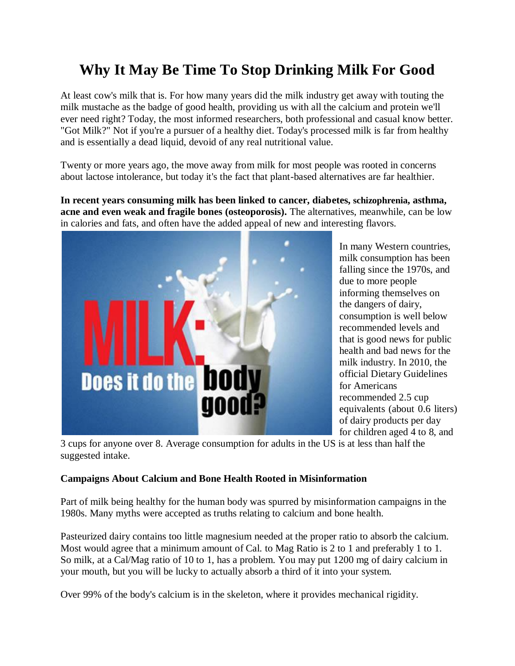# **Why It May Be Time To Stop Drinking Milk For Good**

At least cow's milk that is. For how many years did the milk industry get away with touting the milk mustache as the badge of good health, providing us with all the calcium and protein we'll ever need right? Today, the most informed researchers, both professional and casual know better. "Got Milk?" Not if you're a pursuer of a healthy diet. Today's processed milk is far from healthy and is essentially a dead liquid, devoid of any real nutritional value.

Twenty or more years ago, the move away from milk for most people was rooted in concerns about lactose intolerance, but today it's the fact that plant-based alternatives are far healthier.

**In recent years consuming milk has been linked to cancer, diabetes, schizophrenia, asthma, acne and even weak and fragile bones (osteoporosis).** The alternatives, meanwhile, can be low in calories and fats, and often have the added appeal of new and interesting flavors.



In many Western countries, milk consumption has been falling since the 1970s, and due to more people informing themselves on the dangers of dairy, consumption is well below recommended levels and that is good news for public health and bad news for the milk industry. In 2010, the official Dietary Guidelines for Americans recommended 2.5 cup equivalents (about 0.6 liters) of dairy products per day for children aged 4 to 8, and

3 cups for anyone over 8. Average consumption for adults in the US is at less than half the suggested intake.

# **Campaigns About Calcium and Bone Health Rooted in Misinformation**

Part of milk being healthy for the human body was spurred by misinformation campaigns in the 1980s. Many myths were accepted as truths relating to calcium and bone health.

Pasteurized dairy contains too little magnesium needed at the proper ratio to absorb the calcium. Most would agree that a minimum amount of Cal. to Mag Ratio is 2 to 1 and preferably 1 to 1. So milk, at a Cal/Mag ratio of 10 to 1, has a problem. You may put 1200 mg of dairy calcium in your mouth, but you will be lucky to actually absorb a third of it into your system.

Over 99% of the body's calcium is in the skeleton, where it provides mechanical rigidity.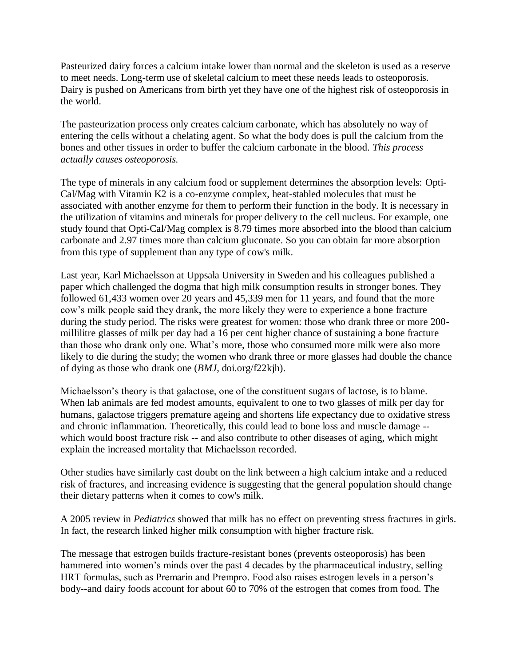Pasteurized dairy forces a calcium intake lower than normal and the skeleton is used as a reserve to meet needs. Long-term use of skeletal calcium to meet these needs leads to osteoporosis. Dairy is pushed on Americans from birth yet they have one of the highest risk of osteoporosis in the world.

The pasteurization process only creates calcium carbonate, which has absolutely no way of entering the cells without a chelating agent. So what the body does is pull the calcium from the bones and other tissues in order to buffer the calcium carbonate in the blood. *This process actually causes osteoporosis.*

The type of minerals in any calcium food or supplement determines the absorption levels: [Opti-](http://preventdisease.com/hpp/zen-cart/index.php?main_page=product_info&cPath=23&products_id=246&zenid=3bu506u6ibmfp2ti1kb3rq8kv7)[Cal/Mag with Vitamin K2](http://preventdisease.com/hpp/zen-cart/index.php?main_page=product_info&cPath=23&products_id=246&zenid=3bu506u6ibmfp2ti1kb3rq8kv7) is a co-enzyme complex, heat-stabled molecules that must be associated with another enzyme for them to perform their function in the body. It is necessary in the utilization of vitamins and minerals for proper delivery to the cell nucleus. For example, one study found that Opti-Cal/Mag complex is 8.79 times more absorbed into the blood than calcium carbonate and 2.97 times more than calcium gluconate. So you can obtain far more absorption from this type of supplement than any type of cow's milk.

Last year, Karl Michaelsson at Uppsala University in Sweden and his colleagues published a paper which challenged the dogma that high milk consumption results in stronger bones. They followed 61,433 women over 20 years and 45,339 men for 11 years, and found that the more cow's milk people said they drank, the more likely they were to experience a bone fracture during the study period. The risks were greatest for women: those who drank three or more 200 millilitre glasses of milk per day had a 16 per cent higher chance of sustaining a bone fracture than those who drank only one. What's more, those who consumed more milk were also more likely to die during the study; the women who drank three or more glasses had double the chance of dying as those who drank one (*BMJ*, doi.org/f22kjh).

Michaelsson's theory is that galactose, one of the constituent sugars of lactose, is to blame. When lab animals are fed modest amounts, equivalent to one to two glasses of milk per day for humans, galactose triggers premature ageing and shortens life expectancy due to oxidative stress and chronic inflammation. Theoretically, this could lead to bone loss and muscle damage - which would boost fracture risk -- and also contribute to other diseases of aging, which might explain the increased mortality that Michaelsson recorded.

Other studies have similarly [cast doubt on the link between a high calcium intake and a reduced](http://www.ncbi.nlm.nih.gov/pubmed/18065599?dopt=Citation)  [risk of fractures,](http://www.ncbi.nlm.nih.gov/pubmed/18065599?dopt=Citation) and increasing evidence is suggesting that the general population should change their dietary patterns when it comes to cow's milk.

A 2005 review in *Pediatrics* showed that milk has no effect on preventing stress fractures in girls. In fact, the research linked higher milk consumption with higher fracture risk.

The message that estrogen builds fracture-resistant bones (prevents osteoporosis) has been hammered into women's minds over the past 4 decades by the pharmaceutical industry, selling HRT formulas, such as Premarin and Prempro. Food also raises estrogen levels in a person's body--and dairy foods account for about 60 to 70% of the estrogen that comes from food. The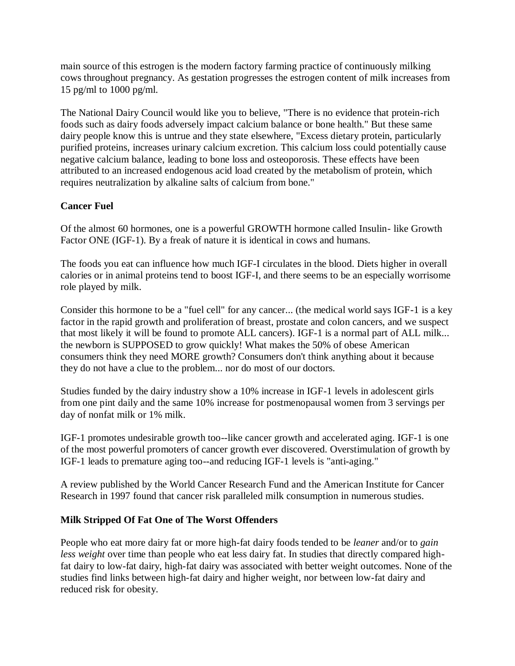main source of this estrogen is the modern factory farming practice of continuously milking cows throughout pregnancy. As gestation progresses the estrogen content of milk increases from 15 pg/ml to 1000 pg/ml.

The National Dairy Council would like you to believe, "There is no evidence that protein-rich foods such as dairy foods adversely impact calcium balance or bone health." But these same dairy people know this is untrue and they state elsewhere, "Excess dietary protein, particularly purified proteins, increases urinary calcium excretion. This calcium loss could potentially cause negative calcium balance, leading to bone loss and osteoporosis. These effects have been attributed to an increased endogenous acid load created by the metabolism of protein, which requires neutralization by alkaline salts of calcium from bone."

## **Cancer Fuel**

Of the almost 60 hormones, one is a powerful GROWTH hormone called Insulin- like Growth Factor ONE (IGF-1). By a freak of nature it is identical in cows and humans.

The foods you eat can influence how much IGF-I circulates in the blood. Diets higher in overall calories or in animal proteins tend to boost IGF-I, and there seems to be an especially worrisome role played by milk.

Consider this hormone to be a "fuel cell" for any cancer... (the medical world says IGF-1 is a key factor in the rapid growth and proliferation of breast, prostate and colon cancers, and we suspect that most likely it will be found to promote ALL cancers). IGF-1 is a normal part of ALL milk... the newborn is SUPPOSED to grow quickly! What makes the 50% of obese American consumers think they need MORE growth? Consumers don't think anything about it because they do not have a clue to the problem... nor do most of our doctors.

Studies funded by the dairy industry show a 10% increase in IGF-1 levels in adolescent girls from one pint daily and the same 10% increase for postmenopausal women from 3 servings per day of nonfat milk or 1% milk.

IGF-1 promotes undesirable growth too--like cancer growth and accelerated aging. IGF-1 is one of the most powerful promoters of cancer growth ever discovered. Overstimulation of growth by IGF-1 leads to premature aging too--and reducing IGF-1 levels is "anti-aging."

A review published by the World Cancer Research Fund and the American Institute for Cancer Research in 1997 found that cancer risk paralleled milk consumption in numerous studies.

### **Milk Stripped Of Fat One of The Worst Offenders**

People who eat more dairy fat or more high-fat dairy foods tended to be *leaner* and/or to *gain less weight* over time than people who eat less dairy fat. In studies that directly compared highfat dairy to low-fat dairy, high-fat dairy was associated with better weight outcomes. None of the studies find links between high-fat dairy and higher weight, nor between low-fat dairy and reduced risk for obesity.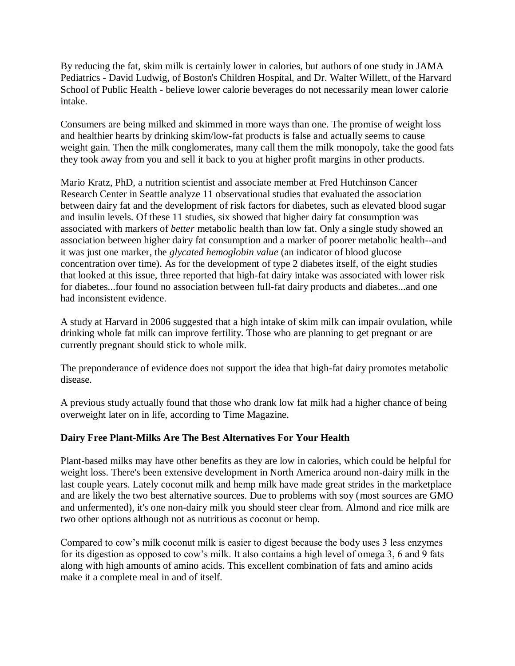By reducing the fat, skim milk is certainly lower in calories, but [authors of one study in JAMA](http://archpedi.jamanetwork.com/article.aspx?articleid=1704826)  [Pediatrics](http://archpedi.jamanetwork.com/article.aspx?articleid=1704826) - David Ludwig, of Boston's Children Hospital, and Dr. Walter Willett, of the Harvard School of Public Health - believe lower calorie beverages do not necessarily mean lower calorie intake.

Consumers are being milked and skimmed in more ways than one. The promise of weight loss and healthier hearts by drinking skim/low-fat products is false and actually seems to cause weight gain. Then the milk conglomerates, many call them the milk monopoly, take the good fats they took away from you and sell it back to you at higher profit margins in other products.

Mario Kratz, PhD, a nutrition scientist and associate member at Fred Hutchinson Cancer Research Center in Seattle analyze 11 observational studies that evaluated the association between dairy fat and the development of risk factors for diabetes, such as elevated blood sugar and insulin levels. Of these 11 studies, six showed that higher dairy fat consumption was associated with markers of *better* metabolic health than low fat. Only a single study showed an association between higher dairy fat consumption and a marker of poorer metabolic health--and it was just one marker, the *glycated hemoglobin value* (an indicator of blood glucose concentration over time). As for the development of type 2 diabetes itself, of the eight studies that looked at this issue, three reported that high-fat dairy intake was associated with lower risk for diabetes...four found no association between full-fat dairy products and diabetes...and one had inconsistent evidence.

A study at Harvard in 2006 suggested that a high intake of skim milk can impair ovulation, while drinking whole fat milk can improve fertility. Those who are planning to get pregnant or are currently pregnant should stick to whole milk.

The preponderance of evidence does not support the idea that high-fat dairy promotes metabolic disease.

A previous study actually found that those who drank low fat milk had a higher chance of being overweight later on in life, according to [Time Magazine.](http://healthland.time.com/2013/07/03/skim-milk-is-healthier-than-whole-milk-right-maybe-not/)

### **Dairy Free Plant-Milks Are The Best Alternatives For Your Health**

Plant-based milks may have other benefits as they are low in calories, which could be helpful for weight loss. There's been extensive development in North America around non-dairy milk in the last couple years. Lately coconut milk and hemp milk have made great strides in the marketplace and are likely the two best alternative sources. Due to problems with soy [\(most sources are GMO](http://preventdisease.com/news/14/012714_Whether-Labeled-Organic-Non-GMO-Conventional-Here-12-Reasons-To-Avoid-Soy.shtml)  [and unfermented\)](http://preventdisease.com/news/14/012714_Whether-Labeled-Organic-Non-GMO-Conventional-Here-12-Reasons-To-Avoid-Soy.shtml), it's one non-dairy milk you should steer clear from. Almond and rice milk are two other options although not as nutritious as coconut or hemp.

Compared to cow's milk coconut milk is easier to digest because the body uses 3 less enzymes for its digestion as opposed to cow's milk. It also contains a high level of omega 3, 6 and 9 fats along with high amounts of amino acids. This excellent combination of fats and amino acids make it a complete meal in and of itself.